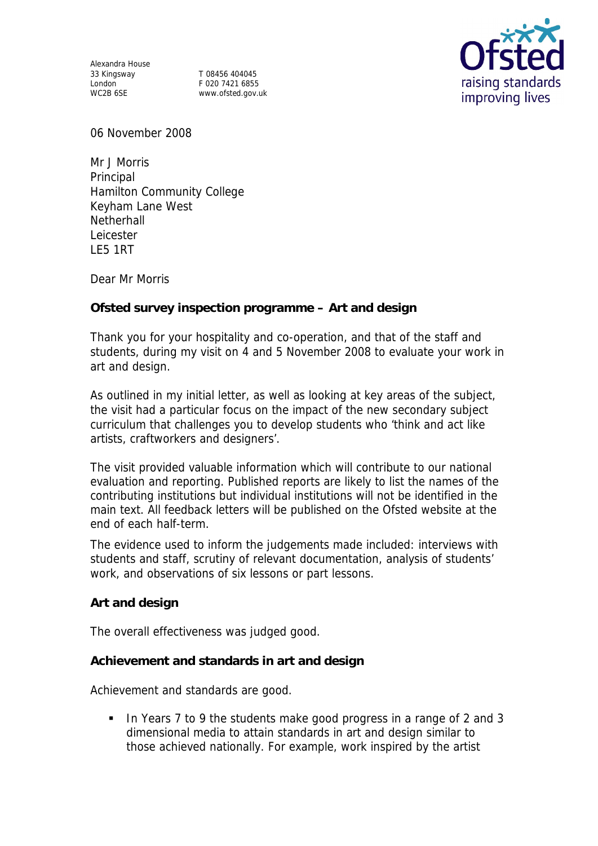Alexandra House 33 Kingsway T 08456 404045

London F 020 7421 6855 WC2B 6SE www.ofsted.gov.uk



06 November 2008

Mr J Morris **Principal** Hamilton Community College Keyham Lane West **Netherhall** Leicester LE5 1RT

Dear Mr Morris

**Ofsted survey inspection programme – Art and design** 

Thank you for your hospitality and co-operation, and that of the staff and students, during my visit on 4 and 5 November 2008 to evaluate your work in art and design.

As outlined in my initial letter, as well as looking at key areas of the subject, the visit had a particular focus on the impact of the new secondary subject curriculum that challenges you to develop students who 'think and act like artists, craftworkers and designers'.

The visit provided valuable information which will contribute to our national evaluation and reporting. Published reports are likely to list the names of the contributing institutions but individual institutions will not be identified in the main text. All feedback letters will be published on the Ofsted website at the end of each half-term.

The evidence used to inform the judgements made included: interviews with students and staff, scrutiny of relevant documentation, analysis of students' work, and observations of six lessons or part lessons.

**Art and design**

The overall effectiveness was judged good.

**Achievement and standards in art and design**

Achievement and standards are good.

 In Years 7 to 9 the students make good progress in a range of 2 and 3 dimensional media to attain standards in art and design similar to those achieved nationally. For example, work inspired by the artist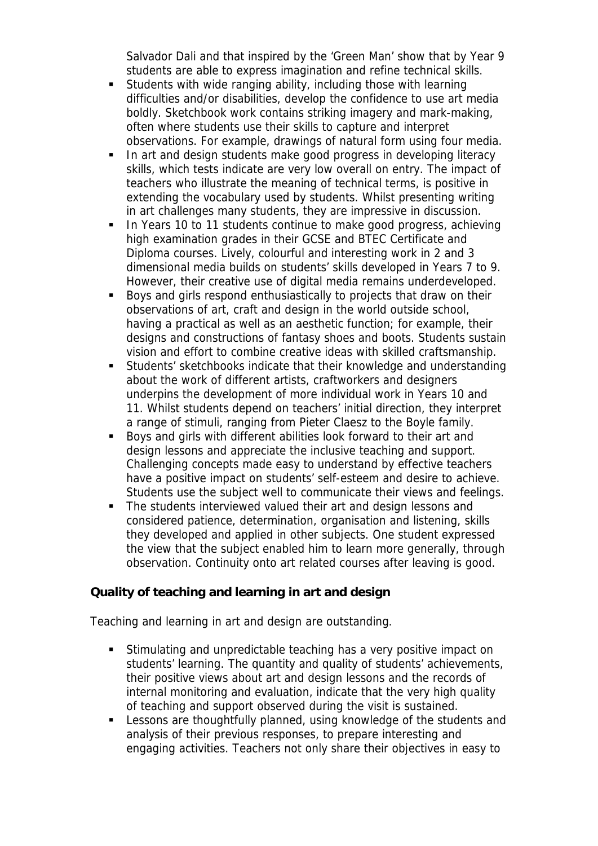Salvador Dali and that inspired by the 'Green Man' show that by Year 9 students are able to express imagination and refine technical skills.

- Students with wide ranging ability, including those with learning difficulties and/or disabilities, develop the confidence to use art media boldly. Sketchbook work contains striking imagery and mark-making, often where students use their skills to capture and interpret observations. For example, drawings of natural form using four media.
- In art and design students make good progress in developing literacy skills, which tests indicate are very low overall on entry. The impact of teachers who illustrate the meaning of technical terms, is positive in extending the vocabulary used by students. Whilst presenting writing in art challenges many students, they are impressive in discussion.
- In Years 10 to 11 students continue to make good progress, achieving high examination grades in their GCSE and BTEC Certificate and Diploma courses. Lively, colourful and interesting work in 2 and 3 dimensional media builds on students' skills developed in Years 7 to 9. However, their creative use of digital media remains underdeveloped.
- Boys and girls respond enthusiastically to projects that draw on their observations of art, craft and design in the world outside school, having a practical as well as an aesthetic function; for example, their designs and constructions of fantasy shoes and boots. Students sustain vision and effort to combine creative ideas with skilled craftsmanship.
- Students' sketchbooks indicate that their knowledge and understanding about the work of different artists, craftworkers and designers underpins the development of more individual work in Years 10 and 11. Whilst students depend on teachers' initial direction, they interpret a range of stimuli, ranging from Pieter Claesz to the Boyle family.
- Boys and girls with different abilities look forward to their art and design lessons and appreciate the inclusive teaching and support. Challenging concepts made easy to understand by effective teachers have a positive impact on students' self-esteem and desire to achieve. Students use the subject well to communicate their views and feelings.
- The students interviewed valued their art and design lessons and considered patience, determination, organisation and listening, skills they developed and applied in other subjects. One student expressed the view that the subject enabled him to learn more generally, through observation. Continuity onto art related courses after leaving is good.

**Quality of teaching and learning in art and design**

Teaching and learning in art and design are outstanding.

- Stimulating and unpredictable teaching has a very positive impact on students' learning. The quantity and quality of students' achievements, their positive views about art and design lessons and the records of internal monitoring and evaluation, indicate that the very high quality of teaching and support observed during the visit is sustained.
- Lessons are thoughtfully planned, using knowledge of the students and analysis of their previous responses, to prepare interesting and engaging activities. Teachers not only share their objectives in easy to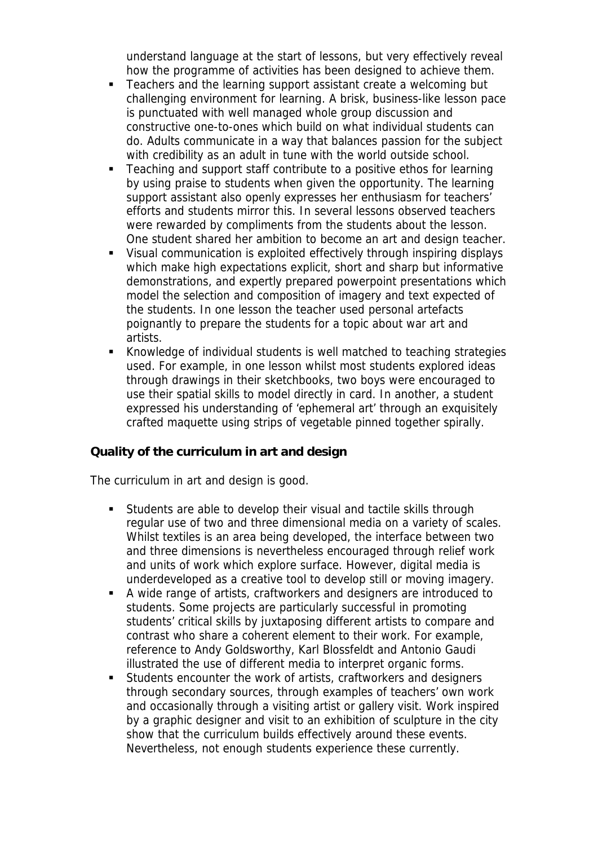understand language at the start of lessons, but very effectively reveal how the programme of activities has been designed to achieve them.

- **Teachers and the learning support assistant create a welcoming but** challenging environment for learning. A brisk, business-like lesson pace is punctuated with well managed whole group discussion and constructive one-to-ones which build on what individual students can do. Adults communicate in a way that balances passion for the subject with credibility as an adult in tune with the world outside school.
- Teaching and support staff contribute to a positive ethos for learning by using praise to students when given the opportunity. The learning support assistant also openly expresses her enthusiasm for teachers' efforts and students mirror this. In several lessons observed teachers were rewarded by compliments from the students about the lesson. One student shared her ambition to become an art and design teacher.
- Visual communication is exploited effectively through inspiring displays which make high expectations explicit, short and sharp but informative demonstrations, and expertly prepared powerpoint presentations which model the selection and composition of imagery and text expected of the students. In one lesson the teacher used personal artefacts poignantly to prepare the students for a topic about war art and artists.
- Knowledge of individual students is well matched to teaching strategies used. For example, in one lesson whilst most students explored ideas through drawings in their sketchbooks, two boys were encouraged to use their spatial skills to model directly in card. In another, a student expressed his understanding of 'ephemeral art' through an exquisitely crafted maquette using strips of vegetable pinned together spirally.

## **Quality of the curriculum in art and design**

The curriculum in art and design is good.

- Students are able to develop their visual and tactile skills through regular use of two and three dimensional media on a variety of scales. Whilst textiles is an area being developed, the interface between two and three dimensions is nevertheless encouraged through relief work and units of work which explore surface. However, digital media is underdeveloped as a creative tool to develop still or moving imagery.
- A wide range of artists, craftworkers and designers are introduced to students. Some projects are particularly successful in promoting students' critical skills by juxtaposing different artists to compare and contrast who share a coherent element to their work. For example, reference to Andy Goldsworthy, Karl Blossfeldt and Antonio Gaudi illustrated the use of different media to interpret organic forms.
- Students encounter the work of artists, craftworkers and designers through secondary sources, through examples of teachers' own work and occasionally through a visiting artist or gallery visit. Work inspired by a graphic designer and visit to an exhibition of sculpture in the city show that the curriculum builds effectively around these events. Nevertheless, not enough students experience these currently.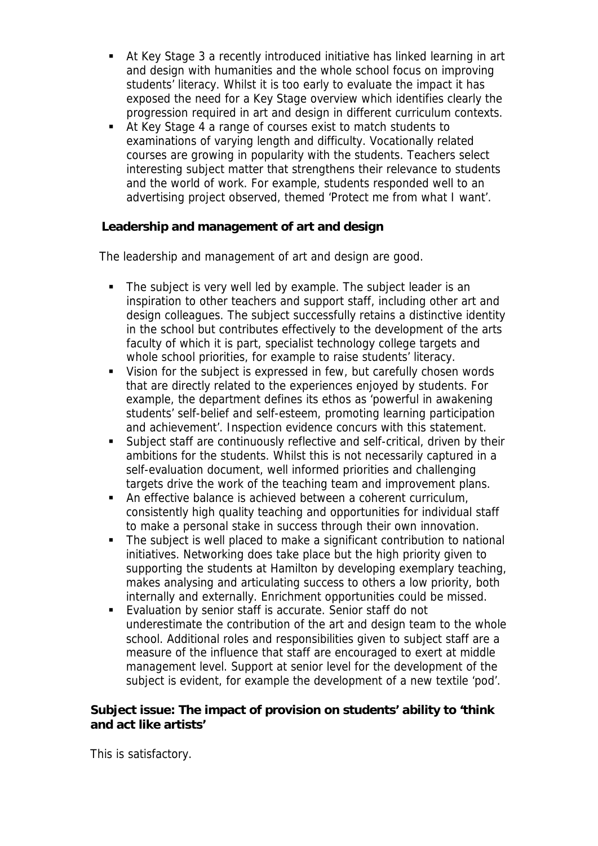- At Key Stage 3 a recently introduced initiative has linked learning in art and design with humanities and the whole school focus on improving students' literacy. Whilst it is too early to evaluate the impact it has exposed the need for a Key Stage overview which identifies clearly the progression required in art and design in different curriculum contexts.
- At Key Stage 4 a range of courses exist to match students to examinations of varying length and difficulty. Vocationally related courses are growing in popularity with the students. Teachers select interesting subject matter that strengthens their relevance to students and the world of work. For example, students responded well to an advertising project observed, themed 'Protect me from what I want'.

**Leadership and management of art and design**

The leadership and management of art and design are good.

- The subject is very well led by example. The subject leader is an inspiration to other teachers and support staff, including other art and design colleagues. The subject successfully retains a distinctive identity in the school but contributes effectively to the development of the arts faculty of which it is part, specialist technology college targets and whole school priorities, for example to raise students' literacy.
- Vision for the subject is expressed in few, but carefully chosen words that are directly related to the experiences enjoyed by students. For example, the department defines its ethos as 'powerful in awakening students' self-belief and self-esteem, promoting learning participation and achievement'. Inspection evidence concurs with this statement.
- Subject staff are continuously reflective and self-critical, driven by their ambitions for the students. Whilst this is not necessarily captured in a self-evaluation document, well informed priorities and challenging targets drive the work of the teaching team and improvement plans.
- An effective balance is achieved between a coherent curriculum, consistently high quality teaching and opportunities for individual staff to make a personal stake in success through their own innovation.
- The subject is well placed to make a significant contribution to national initiatives. Networking does take place but the high priority given to supporting the students at Hamilton by developing exemplary teaching, makes analysing and articulating success to others a low priority, both internally and externally. Enrichment opportunities could be missed.
- Evaluation by senior staff is accurate. Senior staff do not underestimate the contribution of the art and design team to the whole school. Additional roles and responsibilities given to subject staff are a measure of the influence that staff are encouraged to exert at middle management level. Support at senior level for the development of the subject is evident, for example the development of a new textile 'pod'.

**Subject issue: The impact of provision on students' ability to 'think and act like artists'** 

This is satisfactory.